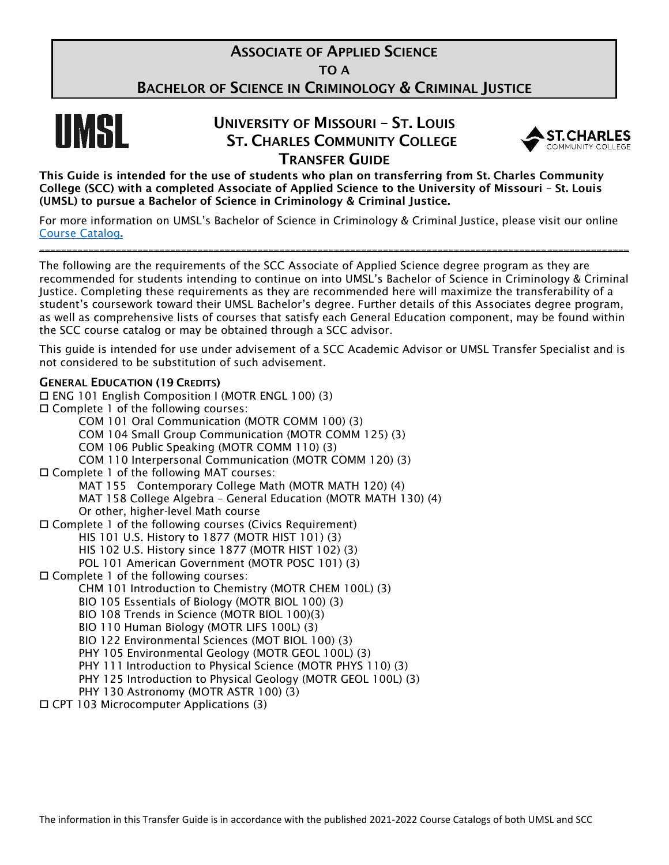# **ASSOCIATE OF APPLIED SCIENCE**

TO A

BACHELOR OF SCIENCE IN CRIMINOLOGY & CRIMINAL JUSTICE



# UNIVERSITY OF MISSOURI – ST. LOUIS ST. CHARLES COMMUNITY COLLEGE TRANSFER GUIDE



This Guide is intended for the use of students who plan on transferring from St. Charles Community College (SCC) with a completed Associate of Applied Science to the University of Missouri – St. Louis (UMSL) to pursue a Bachelor of Science in Criminology & Criminal Justice.

For more information on UMSL's Bachelor of Science in Criminology & Criminal Justice, please visit our online [Course Catalog](https://bulletin.umsl.edu/programs/criminology-and-criminal-justice-bs/#requirementstext).

\_\_\_\_\_\_\_\_\_\_\_\_\_\_\_\_\_\_\_\_\_\_\_\_\_\_\_\_\_\_\_\_\_\_\_\_\_\_\_\_\_\_\_\_\_\_\_\_\_\_\_\_\_\_\_\_\_\_\_\_\_\_\_\_\_\_\_\_\_\_\_\_\_\_\_\_\_\_\_\_\_\_\_\_\_\_\_\_\_\_\_\_\_\_\_\_\_\_\_\_\_\_\_\_\_\_\_\_

The following are the requirements of the SCC Associate of Applied Science degree program as they are recommended for students intending to continue on into UMSL's Bachelor of Science in Criminology & Criminal Justice. Completing these requirements as they are recommended here will maximize the transferability of a student's coursework toward their UMSL Bachelor's degree. Further details of this Associates degree program, as well as comprehensive lists of courses that satisfy each General Education component, may be found within the SCC course catalog or may be obtained through a SCC advisor.

This guide is intended for use under advisement of a SCC Academic Advisor or UMSL Transfer Specialist and is not considered to be substitution of such advisement.

### GENERAL EDUCATION (19 CREDITS)

 ENG 101 English Composition I (MOTR ENGL 100) (3) □ Complete 1 of the following courses: COM 101 Oral Communication (MOTR COMM 100) (3) COM 104 Small Group Communication (MOTR COMM 125) (3) COM 106 Public Speaking (MOTR COMM 110) (3) COM 110 Interpersonal Communication (MOTR COMM 120) (3) Complete 1 of the following MAT courses: MAT 155 Contemporary College Math (MOTR MATH 120) (4) MAT 158 College Algebra – General Education (MOTR MATH 130) (4) Or other, higher-level Math course Complete 1 of the following courses (Civics Requirement) HIS 101 U.S. History to 1877 (MOTR HIST 101) (3) HIS 102 U.S. History since 1877 (MOTR HIST 102) (3) POL 101 American Government (MOTR POSC 101) (3) Complete 1 of the following courses: CHM 101 Introduction to Chemistry (MOTR CHEM 100L) (3) BIO 105 Essentials of Biology (MOTR BIOL 100) (3) BIO 108 Trends in Science (MOTR BIOL 100)(3) BIO 110 Human Biology (MOTR LIFS 100L) (3) BIO 122 Environmental Sciences (MOT BIOL 100) (3) PHY 105 Environmental Geology (MOTR GEOL 100L) (3) PHY 111 Introduction to Physical Science (MOTR PHYS 110) (3) PHY 125 Introduction to Physical Geology (MOTR GEOL 100L) (3) PHY 130 Astronomy (MOTR ASTR 100) (3)

CPT 103 Microcomputer Applications (3)